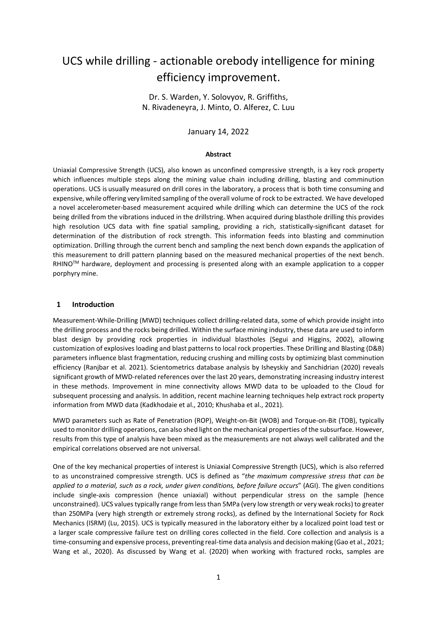# UCS while drilling - actionable orebody intelligence for mining efficiency improvement.

Dr. S. Warden, Y. Solovyov, R. Griffiths, N. Rivadeneyra, J. Minto, O. Alferez, C. Luu

January 14, 2022

#### **Abstract**

Uniaxial Compressive Strength (UCS), also known as unconfined compressive strength, is a key rock property which influences multiple steps along the mining value chain including drilling, blasting and comminution operations. UCS is usually measured on drill cores in the laboratory, a process that is both time consuming and expensive, while offering very limited sampling of the overall volume of rock to be extracted. We have developed a novel accelerometer-based measurement acquired while drilling which can determine the UCS of the rock being drilled from the vibrations induced in the drillstring. When acquired during blasthole drilling this provides high resolution UCS data with fine spatial sampling, providing a rich, statistically-significant dataset for determination of the distribution of rock strength. This information feeds into blasting and comminution optimization. Drilling through the current bench and sampling the next bench down expands the application of this measurement to drill pattern planning based on the measured mechanical properties of the next bench.  $R$ HINO<sup>TM</sup> hardware, deployment and processing is presented along with an example application to a copper porphyry mine.

### **1 Introduction**

Measurement-While-Drilling (MWD) techniques collect drilling-related data, some of which provide insight into the drilling process and the rocks being drilled. Within the surface mining industry, these data are used to inform blast design by providing rock properties in individual blastholes (Segui and Higgins, 2002), allowing customization of explosives loading and blast patterns to local rock properties. These Drilling and Blasting (D&B) parameters influence blast fragmentation, reducing crushing and milling costs by optimizing blast comminution efficiency (Ranjbar et al. 2021). Scientometrics database analysis by Isheyskiy and Sanchidrian (2020) reveals significant growth of MWD-related references over the last 20 years, demonstrating increasing industry interest in these methods. Improvement in mine connectivity allows MWD data to be uploaded to the Cloud for subsequent processing and analysis. In addition, recent machine learning techniques help extract rock property information from MWD data (Kadkhodaie et al., 2010; Khushaba et al., 2021).

MWD parameters such as Rate of Penetration (ROP), Weight-on-Bit (WOB) and Torque-on-Bit (TOB), typically used to monitor drilling operations, can also shed light on the mechanical properties of the subsurface. However, results from this type of analysis have been mixed as the measurements are not always well calibrated and the empirical correlations observed are not universal.

One of the key mechanical properties of interest is Uniaxial Compressive Strength (UCS), which is also referred to as unconstrained compressive strength. UCS is defined as "*the maximum compressive stress that can be applied to a material, such as a rock, under given conditions, before failure occurs*" (AGI). The given conditions include single-axis compression (hence uniaxial) without perpendicular stress on the sample (hence unconstrained). UCS values typically range from less than 5MPa (very low strength or very weak rocks) to greater than 250MPa (very high strength or extremely strong rocks), as defined by the International Society for Rock Mechanics (ISRM) (Lu, 2015). UCS is typically measured in the laboratory either by a localized point load test or a larger scale compressive failure test on drilling cores collected in the field. Core collection and analysis is a time-consuming and expensive process, preventing real-time data analysis and decision making (Gao et al., 2021; Wang et al., 2020). As discussed by Wang et al. (2020) when working with fractured rocks, samples are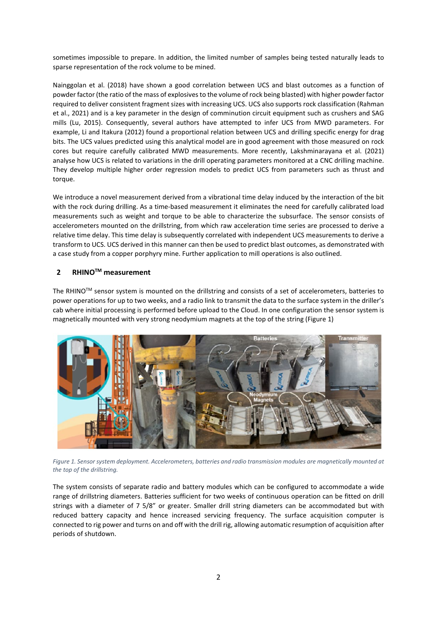sometimes impossible to prepare. In addition, the limited number of samples being tested naturally leads to sparse representation of the rock volume to be mined.

Nainggolan et al. (2018) have shown a good correlation between UCS and blast outcomes as a function of powder factor (the ratio of the mass of explosives to the volume of rock being blasted) with higher powder factor required to deliver consistent fragment sizes with increasing UCS. UCS also supports rock classification (Rahman et al., 2021) and is a key parameter in the design of comminution circuit equipment such as crushers and SAG mills (Lu, 2015). Consequently, several authors have attempted to infer UCS from MWD parameters. For example, Li and Itakura (2012) found a proportional relation between UCS and drilling specific energy for drag bits. The UCS values predicted using this analytical model are in good agreement with those measured on rock cores but require carefully calibrated MWD measurements. More recently, Lakshminarayana et al. (2021) analyse how UCS is related to variations in the drill operating parameters monitored at a CNC drilling machine. They develop multiple higher order regression models to predict UCS from parameters such as thrust and torque.

We introduce a novel measurement derived from a vibrational time delay induced by the interaction of the bit with the rock during drilling. As a time-based measurement it eliminates the need for carefully calibrated load measurements such as weight and torque to be able to characterize the subsurface. The sensor consists of accelerometers mounted on the drillstring, from which raw acceleration time series are processed to derive a relative time delay. This time delay is subsequently correlated with independent UCS measurements to derive a transform to UCS. UCS derived in this manner can then be used to predict blast outcomes, as demonstrated with a case study from a copper porphyry mine. Further application to mill operations is also outlined.

# **2 RHINOTM measurement**

The RHINO<sup>TM</sup> sensor system is mounted on the drillstring and consists of a set of accelerometers, batteries to power operations for up to two weeks, and a radio link to transmit the data to the surface system in the driller's cab where initial processing is performed before upload to the Cloud. In one configuration the sensor system is magnetically mounted with very strong neodymium magnets at the top of the string [\(Figure 1\)](#page-1-0)



*Figure 1. Sensor system deployment. Accelerometers, batteries and radio transmission modules are magnetically mounted at the top of the drillstring.* 

<span id="page-1-0"></span>The system consists of separate radio and battery modules which can be configured to accommodate a wide range of drillstring diameters. Batteries sufficient for two weeks of continuous operation can be fitted on drill strings with a diameter of 7 5/8" or greater. Smaller drill string diameters can be accommodated but with reduced battery capacity and hence increased servicing frequency. The surface acquisition computer is connected to rig power and turns on and off with the drill rig, allowing automatic resumption of acquisition after periods of shutdown.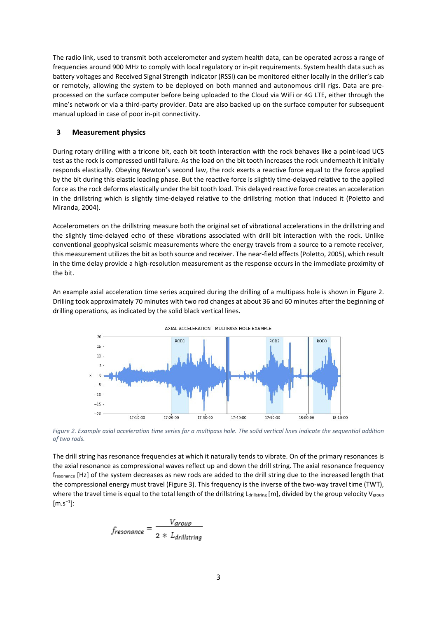The radio link, used to transmit both accelerometer and system health data, can be operated across a range of frequencies around 900 MHz to comply with local regulatory or in-pit requirements. System health data such as battery voltages and Received Signal Strength Indicator (RSSI) can be monitored either locally in the driller's cab or remotely, allowing the system to be deployed on both manned and autonomous drill rigs. Data are preprocessed on the surface computer before being uploaded to the Cloud via WiFi or 4G LTE, either through the mine's network or via a third-party provider. Data are also backed up on the surface computer for subsequent manual upload in case of poor in-pit connectivity.

## **3 Measurement physics**

During rotary drilling with a tricone bit, each bit tooth interaction with the rock behaves like a point-load UCS test as the rock is compressed until failure. As the load on the bit tooth increases the rock underneath it initially responds elastically. Obeying Newton's second law, the rock exerts a reactive force equal to the force applied by the bit during this elastic loading phase. But the reactive force is slightly time-delayed relative to the applied force as the rock deforms elastically under the bit tooth load. This delayed reactive force creates an acceleration in the drillstring which is slightly time-delayed relative to the drillstring motion that induced it (Poletto and Miranda, 2004).

Accelerometers on the drillstring measure both the original set of vibrational accelerations in the drillstring and the slightly time-delayed echo of these vibrations associated with drill bit interaction with the rock. Unlike conventional geophysical seismic measurements where the energy travels from a source to a remote receiver, this measurement utilizes the bit as both source and receiver. The near-field effects (Poletto, 2005), which result in the time delay provide a high-resolution measurement as the response occurs in the immediate proximity of the bit.

An example axial acceleration time series acquired during the drilling of a multipass hole is shown in [Figure 2.](#page-2-0) Drilling took approximately 70 minutes with two rod changes at about 36 and 60 minutes after the beginning of drilling operations, as indicated by the solid black vertical lines.



AXIAL ACCELERATION - MULTIPASS HOLE EXAMPLE

<span id="page-2-0"></span>*Figure 2. Example axial acceleration time series for a multipass hole. The solid vertical lines indicate the sequential addition of two rods.*

The drill string has resonance frequencies at which it naturally tends to vibrate. On of the primary resonances is the axial resonance as compressional waves reflect up and down the drill string. The axial resonance frequency fresonance [Hz] of the system decreases as new rods are added to the drill string due to the increased length that the compressional energy must travel [\(Figure 3\)](#page-3-0). This frequency is the inverse of the two-way travel time (TWT), where the travel time is equal to the total length of the drillstring Ldrillstring [m], divided by the group velocity V<sub>group</sub> [m.s<sup>−</sup><sup>1</sup> ]:

$$
f_{resonance} = \frac{V_{group}}{2 * L_{drillstring}}
$$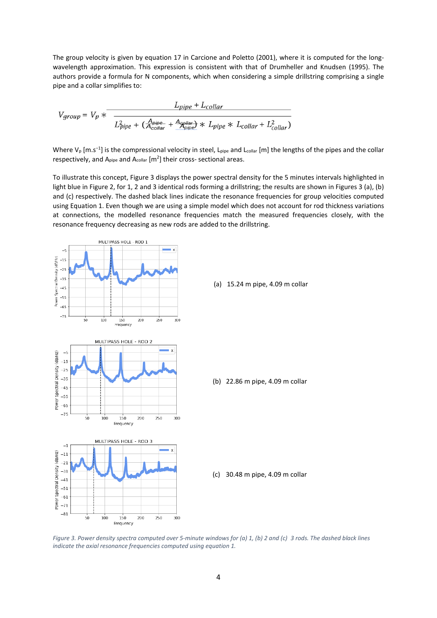The group velocity is given by equation 17 in Carcione and Poletto (2001), where it is computed for the longwavelength approximation. This expression is consistent with that of Drumheller and Knudsen (1995). The authors provide a formula for N components, which when considering a simple drillstring comprising a single pipe and a collar simplifies to:

$$
V_{group} = V_p * \frac{L_{pipe} + L_{collar}}{L_{pipe}^2 + (\frac{A_{pipe}}{A_{collar}} + \frac{A_{gpler}}{A_{pipe}}) * L_{pipe} * L_{collar} + L_{collar}^2)}
$$

Where V<sub>P</sub> [m.s<sup>-1</sup>] is the compressional velocity in steel, L<sub>pipe</sub> and L<sub>collar</sub> [m] the lengths of the pipes and the collar respectively, and A<sub>pipe</sub> and A<sub>collar</sub>  $[m^2]$  their cross- sectional areas.

To illustrate this concept[, Figure 3](#page-3-0) displays the power spectral density for the 5 minutes intervals highlighted in light blue in [Figure 2,](#page-2-0) for 1, 2 and 3 identical rods forming a drillstring; the results are shown in Figures 3 (a), (b) and (c) respectively. The dashed black lines indicate the resonance frequencies for group velocities computed using Equation 1. Even though we are using a simple model which does not account for rod thickness variations at connections, the modelled resonance frequencies match the measured frequencies closely, with the resonance frequency decreasing as new rods are added to the drillstring.



<span id="page-3-0"></span>*Figure 3. Power density spectra computed over 5-minute windows for (a) 1, (b) 2 and (c) 3 rods. The dashed black lines indicate the axial resonance frequencies computed using equation 1.*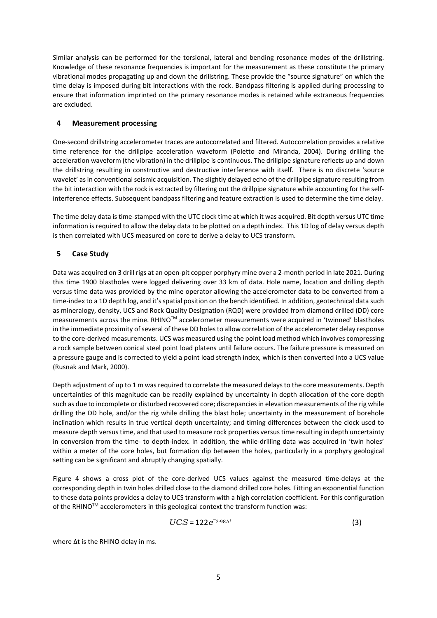Similar analysis can be performed for the torsional, lateral and bending resonance modes of the drillstring. Knowledge of these resonance frequencies is important for the measurement as these constitute the primary vibrational modes propagating up and down the drillstring. These provide the "source signature" on which the time delay is imposed during bit interactions with the rock. Bandpass filtering is applied during processing to ensure that information imprinted on the primary resonance modes is retained while extraneous frequencies are excluded.

# **4 Measurement processing**

One-second drillstring accelerometer traces are autocorrelated and filtered. Autocorrelation provides a relative time reference for the drillpipe acceleration waveform (Poletto and Miranda, 2004). During drilling the acceleration waveform (the vibration) in the drillpipe is continuous. The drillpipe signature reflects up and down the drillstring resulting in constructive and destructive interference with itself. There is no discrete 'source wavelet' as in conventional seismic acquisition. The slightly delayed echo of the drillpipe signature resulting from the bit interaction with the rock is extracted by filtering out the drillpipe signature while accounting for the selfinterference effects. Subsequent bandpass filtering and feature extraction is used to determine the time delay.

The time delay data is time-stamped with the UTC clock time at which it was acquired. Bit depth versus UTC time information is required to allow the delay data to be plotted on a depth index. This 1D log of delay versus depth is then correlated with UCS measured on core to derive a delay to UCS transform.

# **5 Case Study**

Data was acquired on 3 drill rigs at an open-pit copper porphyry mine over a 2-month period in late 2021. During this time 1900 blastholes were logged delivering over 33 km of data. Hole name, location and drilling depth versus time data was provided by the mine operator allowing the accelerometer data to be converted from a time-index to a 1D depth log, and it's spatial position on the bench identified. In addition, geotechnical data such as mineralogy, density, UCS and Rock Quality Designation (RQD) were provided from diamond drilled (DD) core measurements across the mine. RHINOTM accelerometer measurements were acquired in 'twinned' blastholes in the immediate proximity of several of these DD holes to allow correlation of the accelerometer delay response to the core-derived measurements. UCS was measured using the point load method which involves compressing a rock sample between conical steel point load platens until failure occurs. The failure pressure is measured on a pressure gauge and is corrected to yield a point load strength index, which is then converted into a UCS value (Rusnak and Mark, 2000).

Depth adjustment of up to 1 m was required to correlate the measured delays to the core measurements. Depth uncertainties of this magnitude can be readily explained by uncertainty in depth allocation of the core depth such as due to incomplete or disturbed recovered core; discrepancies in elevation measurements of the rig while drilling the DD hole, and/or the rig while drilling the blast hole; uncertainty in the measurement of borehole inclination which results in true vertical depth uncertainty; and timing differences between the clock used to measure depth versus time, and that used to measure rock properties versus time resulting in depth uncertainty in conversion from the time- to depth-index. In addition, the while-drilling data was acquired in 'twin holes' within a meter of the core holes, but formation dip between the holes, particularly in a porphyry geological setting can be significant and abruptly changing spatially.

[Figure 4](#page-5-0) shows a cross plot of the core-derived UCS values against the measured time-delays at the corresponding depth in twin holes drilled close to the diamond drilled core holes. Fitting an exponential function to these data points provides a delay to UCS transform with a high correlation coefficient. For this configuration of the RHINO™ accelerometers in this geological context the transform function was:

$$
UCS = 122e^{-2.98\Delta t}
$$
 (3)

where ∆t is the RHINO delay in ms.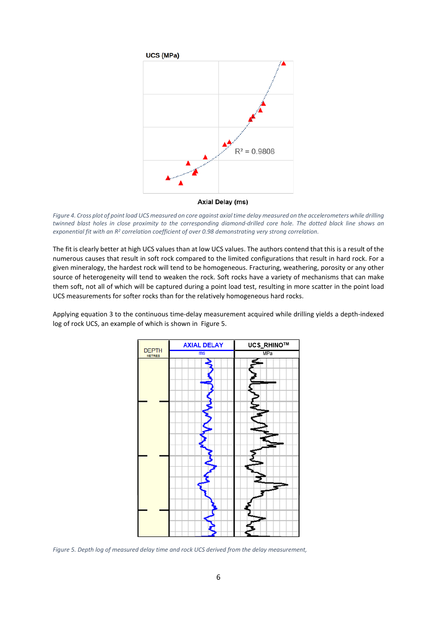

**Axial Delay (ms)** 

<span id="page-5-0"></span>*Figure 4. Cross plot of point load UCS measured on core against axial time delay measured on the accelerometers while drilling twinned blast holes in close proximity to the corresponding diamond-drilled core hole. The dotted black line shows an exponential fit with an R2 correlation coefficient of over 0.98 demonstrating very strong correlation.*

The fit is clearly better at high UCS values than at low UCS values. The authors contend that this is a result of the numerous causes that result in soft rock compared to the limited configurations that result in hard rock. For a given mineralogy, the hardest rock will tend to be homogeneous. Fracturing, weathering, porosity or any other source of heterogeneity will tend to weaken the rock. Soft rocks have a variety of mechanisms that can make them soft, not all of which will be captured during a point load test, resulting in more scatter in the point load UCS measurements for softer rocks than for the relatively homogeneous hard rocks.

Applying equation 3 to the continuous time-delay measurement acquired while drilling yields a depth-indexed log of rock UCS, an example of which is shown in [Figure 5.](#page-5-1)



<span id="page-5-1"></span>*Figure 5. Depth log of measured delay time and rock UCS derived from the delay measurement,*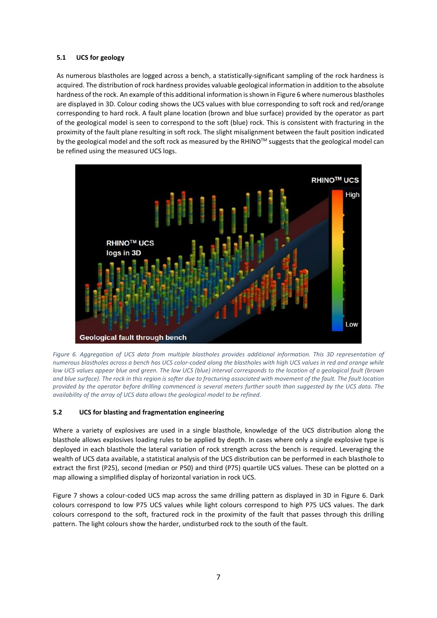# **5.1 UCS for geology**

As numerous blastholes are logged across a bench, a statistically-significant sampling of the rock hardness is acquired. The distribution of rock hardness provides valuable geological information in addition to the absolute hardness of the rock. An example of this additional information is shown i[n Figure 6](#page-6-0) where numerous blastholes are displayed in 3D. Colour coding shows the UCS values with blue corresponding to soft rock and red/orange corresponding to hard rock. A fault plane location (brown and blue surface) provided by the operator as part of the geological model is seen to correspond to the soft (blue) rock. This is consistent with fracturing in the proximity of the fault plane resulting in soft rock. The slight misalignment between the fault position indicated by the geological model and the soft rock as measured by the RHINO™ suggests that the geological model can be refined using the measured UCS logs.



<span id="page-6-0"></span>Figure 6. Aggregation of UCS data from multiple blastholes provides additional information. This 3D representation of *numerous blastholes across a bench has UCS color-coded along the blastholes with high UCS values in red and orange while low UCS values appear blue and green. The low UCS (blue) interval corresponds to the location of a geological fault (brown and blue surface). The rock in this region is softer due to fracturing associated with movement of the fault. The fault location provided by the operator before drilling commenced is several meters further south than suggested by the UCS data. The availability of the array of UCS data allows the geological model to be refined.*

# **5.2 UCS for blasting and fragmentation engineering**

Where a variety of explosives are used in a single blasthole, knowledge of the UCS distribution along the blasthole allows explosives loading rules to be applied by depth. In cases where only a single explosive type is deployed in each blasthole the lateral variation of rock strength across the bench is required. Leveraging the wealth of UCS data available, a statistical analysis of the UCS distribution can be performed in each blasthole to extract the first (P25), second (median or P50) and third (P75) quartile UCS values. These can be plotted on a map allowing a simplified display of horizontal variation in rock UCS.

[Figure 7](#page-7-0) shows a colour-coded UCS map across the same drilling pattern as displayed in 3D in Figure 6. Dark colours correspond to low P75 UCS values while light colours correspond to high P75 UCS values. The dark colours correspond to the soft, fractured rock in the proximity of the fault that passes through this drilling pattern. The light colours show the harder, undisturbed rock to the south of the fault.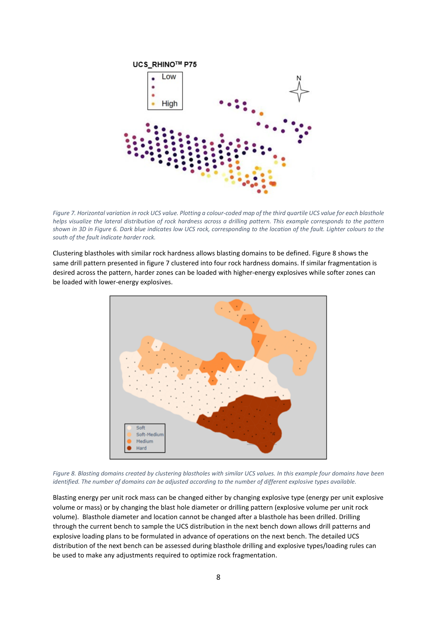

<span id="page-7-0"></span>*Figure 7. Horizontal variation in rock UCS value. Plotting a colour-coded map of the third quartile UCS value for each blasthole helps visualize the lateral distribution of rock hardness across a drilling pattern. This example corresponds to the pattern shown in 3D in Figure 6. Dark blue indicates low UCS rock, corresponding to the location of the fault. Lighter colours to the south of the fault indicate harder rock.*

Clustering blastholes with similar rock hardness allows blasting domains to be defined[. Figure 8](#page-7-1) shows the same drill pattern presented in figure 7 clustered into four rock hardness domains. If similar fragmentation is desired across the pattern, harder zones can be loaded with higher-energy explosives while softer zones can be loaded with lower-energy explosives.



<span id="page-7-1"></span>*Figure 8. Blasting domains created by clustering blastholes with similar UCS values. In this example four domains have been identified. The number of domains can be adjusted according to the number of different explosive types available.*

Blasting energy per unit rock mass can be changed either by changing explosive type (energy per unit explosive volume or mass) or by changing the blast hole diameter or drilling pattern (explosive volume per unit rock volume). Blasthole diameter and location cannot be changed after a blasthole has been drilled. Drilling through the current bench to sample the UCS distribution in the next bench down allows drill patterns and explosive loading plans to be formulated in advance of operations on the next bench. The detailed UCS distribution of the next bench can be assessed during blasthole drilling and explosive types/loading rules can be used to make any adjustments required to optimize rock fragmentation.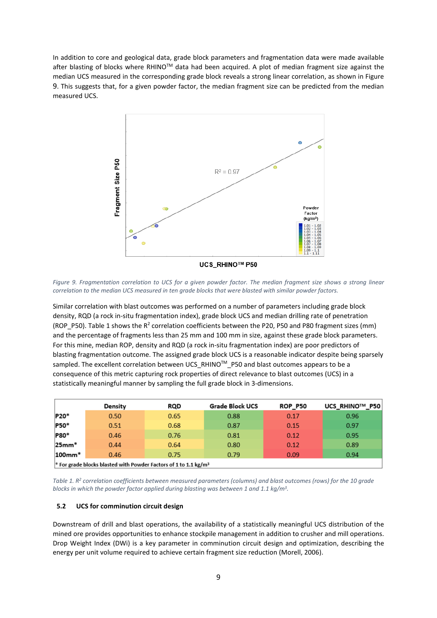In addition to core and geological data, grade block parameters and fragmentation data were made available after blasting of blocks where RHINO™ data had been acquired. A plot of median fragment size against the median UCS measured in the corresponding grade block reveals a strong linear correlation, as shown in [Figure](#page-8-0)  [9.](#page-8-0) This suggests that, for a given powder factor, the median fragment size can be predicted from the median measured UCS.



UCS RHINO™ P50

<span id="page-8-0"></span>*Figure 9. Fragmentation correlation to UCS for a given powder factor. The median fragment size shows a strong linear correlation to the median UCS measured in ten grade blocks that were blasted with similar powder factors.* 

Similar correlation with blast outcomes was performed on a number of parameters including grade block density, RQD (a rock in-situ fragmentation index), grade block UCS and median drilling rate of penetration (ROP\_P50). [Table 1](#page-8-1) shows the R<sup>2</sup> correlation coefficients between the P20, P50 and P80 fragment sizes (mm) and the percentage of fragments less than 25 mm and 100 mm in size, against these grade block parameters. For this mine, median ROP, density and RQD (a rock in-situ fragmentation index) are poor predictors of blasting fragmentation outcome. The assigned grade block UCS is a reasonable indicator despite being sparsely sampled. The excellent correlation between UCS\_RHINO™\_P50 and blast outcomes appears to be a consequence of this metric capturing rock properties of direct relevance to blast outcomes (UCS) in a statistically meaningful manner by sampling the full grade block in 3-dimensions.

|                                                                                         | Density | RQD  | <b>Grade Block UCS</b> | <b>ROP_P50</b> | UCS_RHINO™_P50 |
|-----------------------------------------------------------------------------------------|---------|------|------------------------|----------------|----------------|
| P20*                                                                                    | 0.50    | 0.65 | 0.88                   | 0.17           | 0.96           |
| P50*                                                                                    | 0.51    | 0.68 | 0.87                   | 0.15           | 0.97           |
| P80*                                                                                    | 0.46    | 0.76 | 0.81                   | 0.12           | 0.95           |
| $25mm*$                                                                                 | 0.44    | 0.64 | 0.80                   | 0.12           | 0.89           |
| $100$ mm $*$                                                                            | 0.46    | 0.75 | 0.79                   | 0.09           | 0.94           |
| <sup>*</sup> For grade blocks blasted with Powder Factors of 1 to 1.1 kg/m <sup>3</sup> |         |      |                        |                |                |

<span id="page-8-1"></span>*Table 1. R2 correlation coefficients between measured parameters (columns) and blast outcomes (rows) for the 10 grade blocks in which the powder factor applied during blasting was between 1 and 1.1 kg/m3.* 

#### **5.2 UCS for comminution circuit design**

Downstream of drill and blast operations, the availability of a statistically meaningful UCS distribution of the mined ore provides opportunities to enhance stockpile management in addition to crusher and mill operations. Drop Weight Index (DWi) is a key parameter in comminution circuit design and optimization, describing the energy per unit volume required to achieve certain fragment size reduction (Morell, 2006).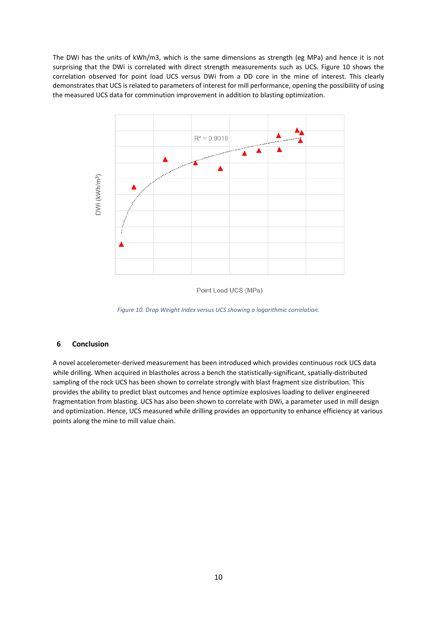The DWi has the units of kWh/m3, which is the same dimensions as strength (eg MPa) and hence it is not surprising that the DWi is correlated with direct strength measurements such as UCS. [Figure 10](#page-9-0) shows the correlation observed for point load UCS versus DWi from a DD core in the mine of interest. This clearly demonstrates that UCS is related to parameters of interest for mill performance, opening the possibility of using the measured UCS data for comminution improvement in addition to blasting optimization.



Point Load UCS (MPa)

*Figure 10. Drop Weight Index versus UCS showing a logarithmic correlation.*

#### <span id="page-9-0"></span>**6 Conclusion**

A novel accelerometer-derived measurement has been introduced which provides continuous rock UCS data while drilling. When acquired in blastholes across a bench the statistically-significant, spatially-distributed sampling of the rock UCS has been shown to correlate strongly with blast fragment size distribution. This provides the ability to predict blast outcomes and hence optimize explosives loading to deliver engineered fragmentation from blasting. UCS has also been shown to correlate with DWi, a parameter used in mill design and optimization. Hence, UCS measured while drilling provides an opportunity to enhance efficiency at various points along the mine to mill value chain.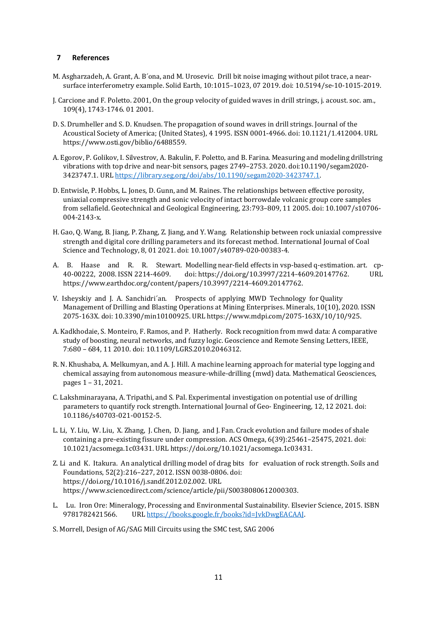## **7 References**

- M. Asgharzadeh, A. Grant, A. B´ona, and M. Urosevic. Drill bit noise imaging without pilot trace, a nearsurface interferometry example. Solid Earth, 10:1015–1023, 07 2019. doi: 10.5194/se-10-1015-2019.
- J. Carcione and F. Poletto. 2001, On the group velocity of guided waves in drill strings, j. acoust. soc. am., 109(4), 1743-1746. 01 2001.
- D. S. Drumheller and S. D. Knudsen. The propagation of sound waves in drill strings. Journal of the Acoustical Society of America; (United States), 4 1995. ISSN 0001-4966. doi: 10.1121/1.412004. URL [https://www.osti.gov/biblio/6488559.](http://www.osti.gov/biblio/6488559)
- A. Egorov, P. Golikov, I. Silvestrov, A. Bakulin, F. Poletto, and B. Farina. Measuring and modeling drillstring vibrations with top drive and near-bit sensors, pages 2749–2753. 2020. doi:10.1190/segam2020- 3423747.1. URL [https://library.seg.org/doi/abs/10.1190/segam2020-3423747.1.](https://library.seg.org/doi/abs/10.1190/segam2020-3423747.1)
- D. Entwisle, P. Hobbs, L. Jones, D. Gunn, and M. Raines. The relationships between effective porosity, uniaxial compressive strength and sonic velocity of intact borrowdale volcanic group core samples from sellafield. Geotechnical and Geological Engineering, 23:793–809, 11 2005. doi: 10.1007/s10706- 004-2143-x.
- H. Gao, Q. Wang, B. Jiang, P. Zhang, Z. Jiang, and Y. Wang. Relationship between rock uniaxial compressive strength and digital core drilling parameters and its forecast method. International Journal of Coal Science and Technology, 8, 01 2021. doi: 10.1007/s40789-020-00383-4.
- A. B. Haase and R. R. Stewart. Modelling near-field effects in vsp-based q-estimation. art. cp-<br>40-00222, 2008. ISSN 2214-4609. doi: https://doi.org/10.3997/2214-4609.20147762. URL doi: https://doi.org/10.3997/2214-4609.20147762. [https://www.earthdoc.org/content/papers/10.3997/2214-4609.20147762.](http://www.earthdoc.org/content/papers/10.3997/2214-4609.20147762)
- V. Isheyskiy and J. A. Sanchidri´an. Prospects of applying MWD Technology for Quality Management of Drilling and Blasting Operations at Mining Enterprises. Minerals, 10(10), 2020. ISSN 2075-163X. doi: 10.3390/min10100925. URL [https://www.mdpi.com/2075-163X/10/10/925.](http://www.mdpi.com/2075-163X/10/10/925)
- A. Kadkhodaie, S. Monteiro, F. Ramos, and P. Hatherly. Rock recognition from mwd data: A comparative study of boosting, neural networks, and fuzzy logic. Geoscience and Remote Sensing Letters, IEEE, 7:680 – 684, 11 2010. doi: 10.1109/LGRS.2010.2046312.
- R. N. Khushaba, A. Melkumyan, and A. J. Hill. A machine learning approach for material type logging and chemical assaying from autonomous measure-while-drilling (mwd) data. Mathematical Geosciences, pages 1 – 31, 2021.
- C. Lakshminarayana, A. Tripathi, and S. Pal. Experimental investigation on potential use of drilling parameters to quantify rock strength. International Journal of Geo- Engineering, 12, 12 2021. doi: 10.1186/s40703-021-00152-5.
- L. Li, Y. Liu, W. Liu, X. Zhang, J. Chen, D. Jiang, and J. Fan. Crack evolution and failure modes of shale containing a pre-existing fissure under compression. ACS Omega, 6(39):25461–25475, 2021. doi: 10.1021/acsomega.1c03431. URL https://doi.org/10.1021/acsomega.1c03431.
- Z. Li and K. Itakura. An analytical drilling model of drag bits for evaluation of rock strength. Soils and Foundations, 52(2):216–227, 2012. ISSN 0038-0806. doi: https://doi.org/10.1016/j.sandf.2012.02.002. URL [https://www.sciencedirect.com/science/article/pii/S0038080612000303.](http://www.sciencedirect.com/science/article/pii/S0038080612000303)
- L. Lu. Iron Ore: Mineralogy, Processing and Environmental Sustainability. Elsevier Science, 2015. ISBN 9781782421566. URL https://books.google.fr/books?id=JvkDwgEACAAJ. UR[L https://books.google.fr/books?id=JvkDwgEACAAJ.](https://books.google.fr/books?id=JvkDwgEACAAJ)
- S. Morrell, Design of AG/SAG Mill Circuits using the SMC test, SAG 2006